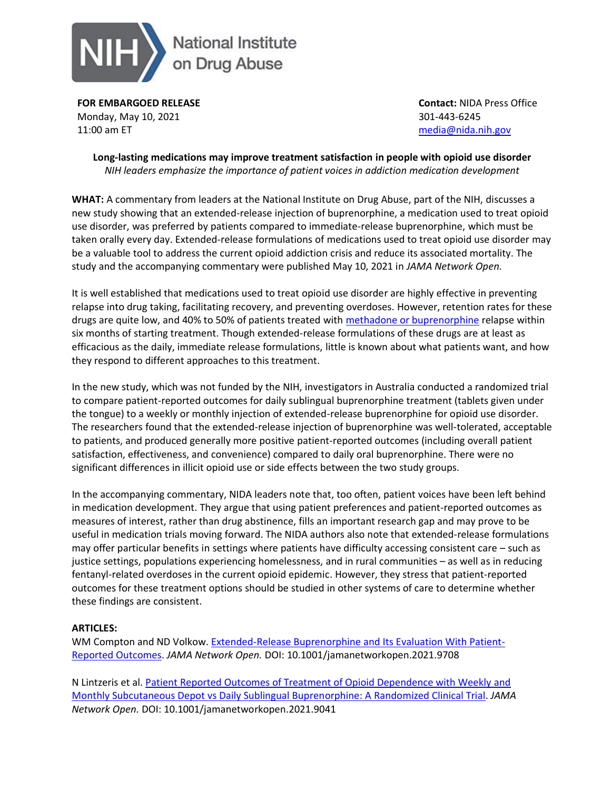

**FOR EMBARGOED RELEASE** Monday, May 10, 2021 11:00 am ET

**Contact:** NIDA Press Office 301-443-6245 [media@nida.nih.gov](mailto:media@nida.nih.gov)

**Long-lasting medications may improve treatment satisfaction in people with opioid use disorder** *NIH leaders emphasize the importance of patient voices in addiction medication development*

**WHAT:** A commentary from leaders at the National Institute on Drug Abuse, part of the NIH, discusses a new study showing that an extended-release injection of buprenorphine, a medication used to treat opioid use disorder, was preferred by patients compared to immediate-release buprenorphine, which must be taken orally every day. Extended-release formulations of medications used to treat opioid use disorder may be a valuable tool to address the current opioid addiction crisis and reduce its associated mortality. The study and the accompanying commentary were published May 10, 2021 in *JAMA Network Open.*

It is well established that medications used to treat opioid use disorder are highly effective in preventing relapse into drug taking, facilitating recovery, and preventing overdoses. However, retention rates for these drugs are quite low, and 40% to 50% of patients treated with [methadone or buprenorphine](https://www.drugabuse.gov/drug-topics/trends-statistics/infographics/medications-opioid-overdose-withdrawal-addiction) relapse within six months of starting treatment. Though extended-release formulations of these drugs are at least as efficacious as the daily, immediate release formulations, little is known about what patients want, and how they respond to different approaches to this treatment.

In the new study, which was not funded by the NIH, investigators in Australia conducted a randomized trial to compare patient-reported outcomes for daily sublingual buprenorphine treatment (tablets given under the tongue) to a weekly or monthly injection of extended-release buprenorphine for opioid use disorder. The researchers found that the extended-release injection of buprenorphine was well-tolerated, acceptable to patients, and produced generally more positive patient-reported outcomes (including overall patient satisfaction, effectiveness, and convenience) compared to daily oral buprenorphine. There were no significant differences in illicit opioid use or side effects between the two study groups.

In the accompanying commentary, NIDA leaders note that, too often, patient voices have been left behind in medication development. They argue that using patient preferences and patient-reported outcomes as measures of interest, rather than drug abstinence, fills an important research gap and may prove to be useful in medication trials moving forward. The NIDA authors also note that extended-release formulations may offer particular benefits in settings where patients have difficulty accessing consistent care – such as justice settings, populations experiencing homelessness, and in rural communities – as well as in reducing fentanyl-related overdoses in the current opioid epidemic. However, they stress that patient-reported outcomes for these treatment options should be studied in other systems of care to determine whether these findings are consistent.

## **ARTICLES:**

WM Compton and ND Volkow. [Extended-Release Buprenorphine](http://jamanetwork.com/journals/jamanetworkopen/fullarticle/10.1001/jamanetworkopen.2021.9708?utm_source=For_The_Media&utm_medium=referral&utm_campaign=ftm_links&utm_term=051021) and Its Evaluation With Patient-[Reported Outcomes.](http://jamanetwork.com/journals/jamanetworkopen/fullarticle/10.1001/jamanetworkopen.2021.9708?utm_source=For_The_Media&utm_medium=referral&utm_campaign=ftm_links&utm_term=051021) *JAMA Network Open.* DOI: 10.1001/jamanetworkopen.2021.9708

N Lintzeris et al. [Patient Reported Outcomes of Treatment of Opioid Dependence with Weekly](http://jamanetwork.com/journals/jamanetworkopen/fullarticle/10.1001/jamanetworkopen.2021.9041?utm_source=For_The_Media&utm_medium=referral&utm_campaign=ftm_links&utm_term=051021) and [Monthly Subcutaneous Depot vs Daily Sublingual Buprenorphine: A](http://jamanetwork.com/journals/jamanetworkopen/fullarticle/10.1001/jamanetworkopen.2021.9041?utm_source=For_The_Media&utm_medium=referral&utm_campaign=ftm_links&utm_term=051021) Randomized Clinical Trial. *JAMA Network Open.* DOI: 10.1001/jamanetworkopen.2021.9041